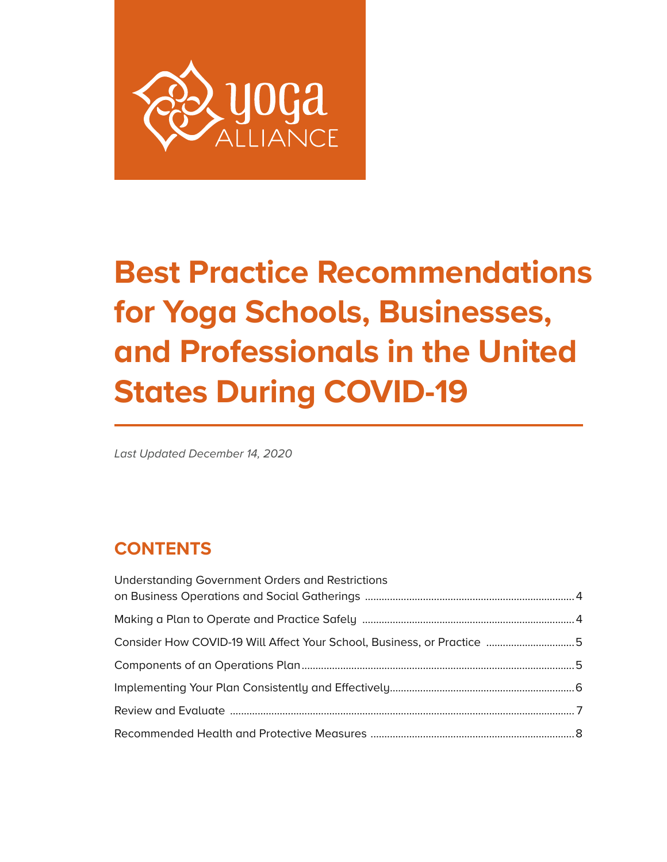

# **Best Practice Recommendations for Yoga Schools, Businesses, and Professionals in the United States During COVID-19**

*Last Updated December 14, 2020*

# **CONTENTS**

| <b>Understanding Government Orders and Restrictions</b>                |  |
|------------------------------------------------------------------------|--|
|                                                                        |  |
|                                                                        |  |
| Consider How COVID-19 Will Affect Your School, Business, or Practice 5 |  |
|                                                                        |  |
|                                                                        |  |
|                                                                        |  |
|                                                                        |  |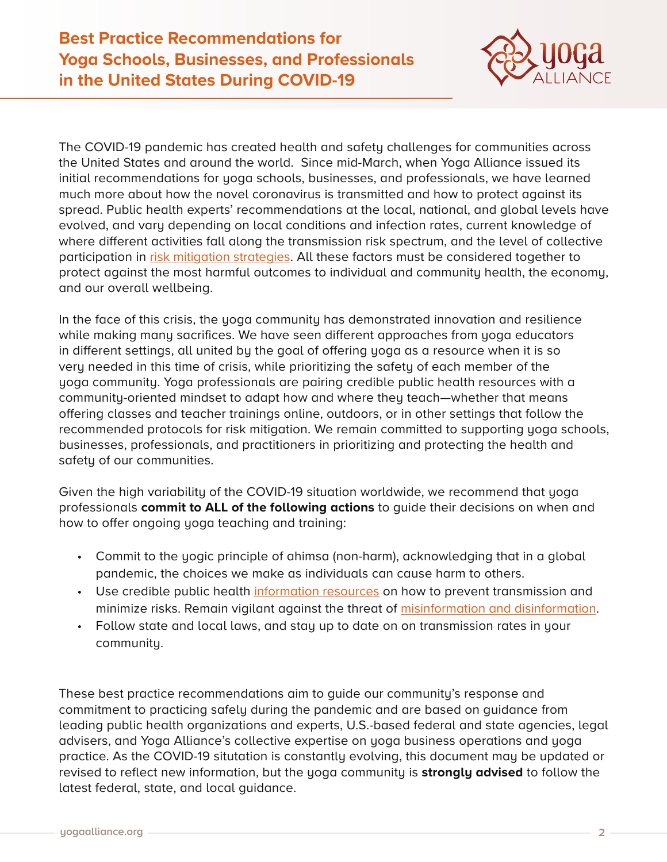

The COVID-19 pandemic has created health and safety challenges for communities across the United States and around the world. Since mid-March, when Yoga Alliance issued its initial recommendations for yoga schools, businesses, and professionals, we have learned much more about how the novel coronavirus is transmitted and how to protect against its spread. Public health experts' recommendations at the local, national, and global levels have evolved, and vary depending on local conditions and infection rates, current knowledge of where different activities fall along the transmission risk spectrum, and the level of collective participation in [risk mitigation strategies](https://www.idsociety.org/globalassets/idsa/public-health/covid-19/activity-risk.pdf ). All these factors must be considered together to protect against the most harmful outcomes to individual and community health, the economy, and our overall wellbeing.

In the face of this crisis, the yoga community has demonstrated innovation and resilience while making many sacrifices. We have seen different approaches from yoga educators in different settings, all united by the goal of offering yoga as a resource when it is so very needed in this time of crisis, while prioritizing the safety of each member of the yoga community. Yoga professionals are pairing credible public health resources with a community-oriented mindset to adapt how and where they teach—whether that means offering classes and teacher trainings online, outdoors, or in other settings that follow the recommended protocols for risk mitigation. We remain committed to supporting yoga schools, businesses, professionals, and practitioners in prioritizing and protecting the health and safety of our communities.

Given the high variability of the COVID-19 situation worldwide, we recommend that yoga professionals **commit to ALL of the following actions** to guide their decisions on when and how to offer ongoing yoga teaching and training:

- Commit to the yogic principle of ahimsa (non-harm), acknowledging that in a global pandemic, the choices we make as individuals can cause harm to others.
- Use credible public health [information resources](https://yourya.org/health-information/#cvd-resources) on how to prevent transmission and minimize risks. Remain vigilant against the threat of [misinformation and disinformation](https://www.who.int/news-room/spotlight/let-s-flatten-the-infodemic-curve).
- Follow state and local laws, and stay up to date on on transmission rates in your community.

These best practice recommendations aim to guide our community's response and commitment to practicing safely during the pandemic and are based on guidance from leading public health organizations and experts, U.S.-based federal and state agencies, legal advisers, and Yoga Alliance's collective expertise on yoga business operations and yoga practice. As the COVID-19 situtation is constantly evolving, this document may be updated or revised to reflect new information, but the yoga community is **strongly advised** to follow the latest federal, state, and local guidance.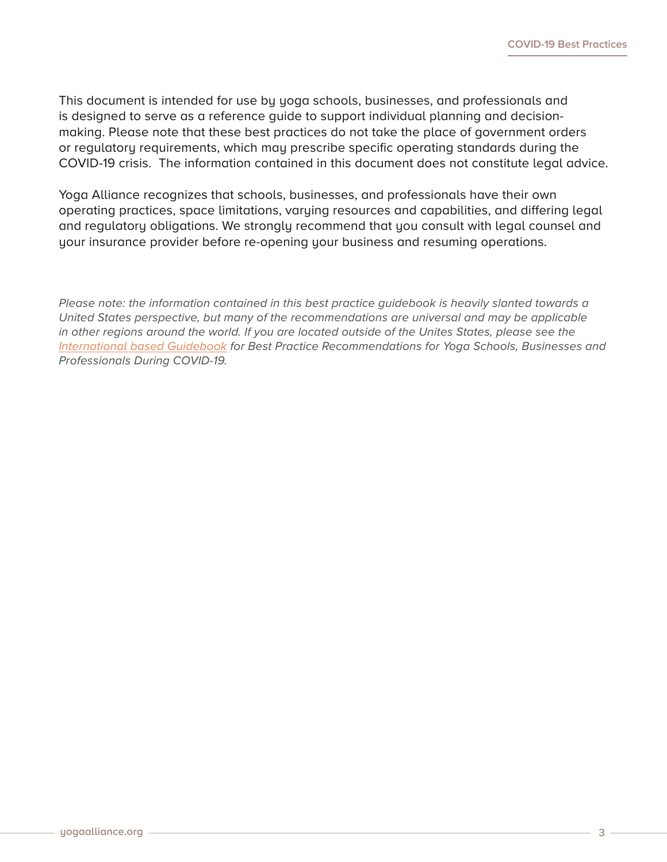This document is intended for use by yoga schools, businesses, and professionals and is designed to serve as a reference guide to support individual planning and decisionmaking. Please note that these best practices do not take the place of government orders or regulatory requirements, which may prescribe specific operating standards during the COVID-19 crisis. The information contained in this document does not constitute legal advice.

Yoga Alliance recognizes that schools, businesses, and professionals have their own operating practices, space limitations, varying resources and capabilities, and differing legal and regulatory obligations. We strongly recommend that you consult with legal counsel and your insurance provider before re-opening your business and resuming operations.

*Please note: the information contained in this best practice guidebook is heavily slanted towards a United States perspective, but many of the recommendations are universal and may be applicable in other regions around the world. If you are located outside of the Unites States, please see the [International based Guidebook](https://yourya.org/wp-content/uploads/2020/12/International_Guidebook_01dh.pdf) for Best Practice Recommendations for Yoga Schools, Businesses and Professionals During COVID-19.*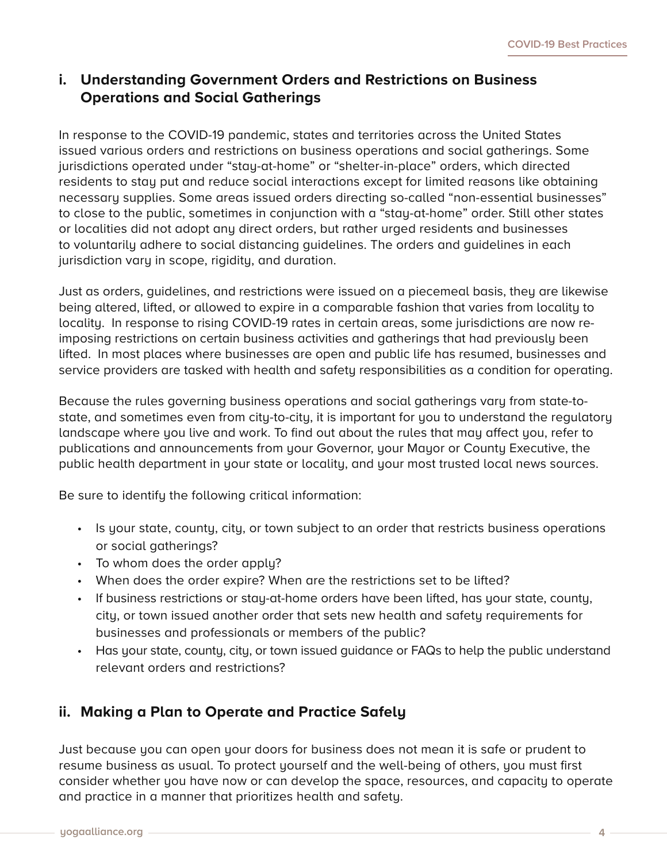### **i. Understanding Government Orders and Restrictions on Business Operations and Social Gatherings**

In response to the COVID-19 pandemic, states and territories across the United States issued various orders and restrictions on business operations and social gatherings. Some jurisdictions operated under "stay-at-home" or "shelter-in-place" orders, which directed residents to stay put and reduce social interactions except for limited reasons like obtaining necessary supplies. Some areas issued orders directing so-called "non-essential businesses" to close to the public, sometimes in conjunction with a "stay-at-home" order. Still other states or localities did not adopt any direct orders, but rather urged residents and businesses to voluntarily adhere to social distancing guidelines. The orders and guidelines in each jurisdiction vary in scope, rigidity, and duration.

Just as orders, guidelines, and restrictions were issued on a piecemeal basis, they are likewise being altered, lifted, or allowed to expire in a comparable fashion that varies from locality to locality. In response to rising COVID-19 rates in certain areas, some jurisdictions are now reimposing restrictions on certain business activities and gatherings that had previously been lifted. In most places where businesses are open and public life has resumed, businesses and service providers are tasked with health and safety responsibilities as a condition for operating.

Because the rules governing business operations and social gatherings vary from state-tostate, and sometimes even from city-to-city, it is important for you to understand the regulatory landscape where you live and work. To find out about the rules that may affect you, refer to publications and announcements from your Governor, your Mayor or County Executive, the public health department in your state or locality, and your most trusted local news sources.

Be sure to identify the following critical information:

- Is your state, county, city, or town subject to an order that restricts business operations or social gatherings?
- To whom does the order apply?
- When does the order expire? When are the restrictions set to be lifted?
- If business restrictions or stay-at-home orders have been lifted, has your state, county, city, or town issued another order that sets new health and safety requirements for businesses and professionals or members of the public?
- Has your state, county, city, or town issued guidance or FAQs to help the public understand relevant orders and restrictions?

## **ii. Making a Plan to Operate and Practice Safely**

Just because you can open your doors for business does not mean it is safe or prudent to resume business as usual. To protect yourself and the well-being of others, you must first consider whether you have now or can develop the space, resources, and capacity to operate and practice in a manner that prioritizes health and safety.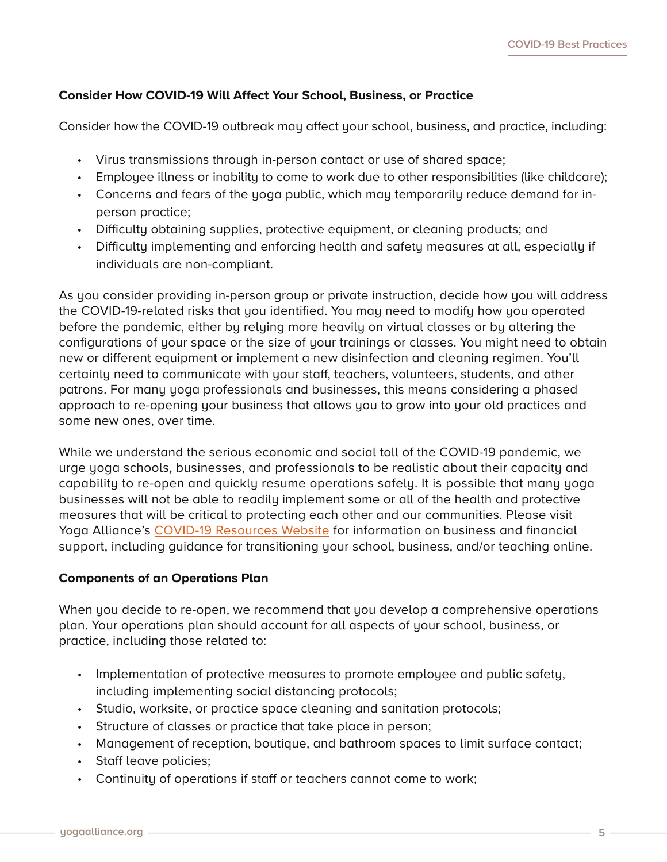#### **Consider How COVID-19 Will Affect Your School, Business, or Practice**

Consider how the COVID-19 outbreak may affect your school, business, and practice, including:

- Virus transmissions through in-person contact or use of shared space;
- Employee illness or inability to come to work due to other responsibilities (like childcare);
- Concerns and fears of the yoga public, which may temporarily reduce demand for inperson practice;
- Difficulty obtaining supplies, protective equipment, or cleaning products; and
- Difficulty implementing and enforcing health and safety measures at all, especially if individuals are non-compliant.

As you consider providing in-person group or private instruction, decide how you will address the COVID-19-related risks that you identified. You may need to modify how you operated before the pandemic, either by relying more heavily on virtual classes or by altering the configurations of your space or the size of your trainings or classes. You might need to obtain new or different equipment or implement a new disinfection and cleaning regimen. You'll certainly need to communicate with your staff, teachers, volunteers, students, and other patrons. For many yoga professionals and businesses, this means considering a phased approach to re-opening your business that allows you to grow into your old practices and some new ones, over time.

While we understand the serious economic and social toll of the COVID-19 pandemic, we urge yoga schools, businesses, and professionals to be realistic about their capacity and capability to re-open and quickly resume operations safely. It is possible that many yoga businesses will not be able to readily implement some or all of the health and protective measures that will be critical to protecting each other and our communities. Please visit Yoga Alliance's [COVID-19 Resources Website](https://yourya.org) for information on business and financial support, including guidance for transitioning your school, business, and/or teaching online.

#### **Components of an Operations Plan**

When you decide to re-open, we recommend that you develop a comprehensive operations plan. Your operations plan should account for all aspects of your school, business, or practice, including those related to:

- Implementation of protective measures to promote employee and public safety, including implementing social distancing protocols;
- Studio, worksite, or practice space cleaning and sanitation protocols;
- Structure of classes or practice that take place in person;
- Management of reception, boutique, and bathroom spaces to limit surface contact;
- Staff leave policies;
- Continuity of operations if staff or teachers cannot come to work;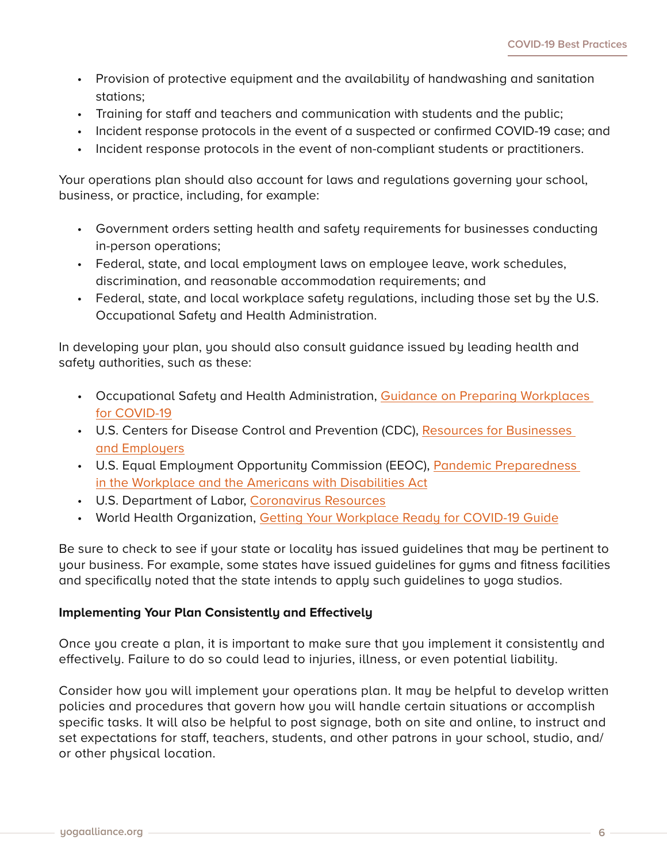- Provision of protective equipment and the availability of handwashing and sanitation stations;
- Training for staff and teachers and communication with students and the public;
- Incident response protocols in the event of a suspected or confirmed COVID-19 case; and
- Incident response protocols in the event of non-compliant students or practitioners.

Your operations plan should also account for laws and regulations governing your school, business, or practice, including, for example:

- Government orders setting health and safety requirements for businesses conducting in-person operations;
- Federal, state, and local employment laws on employee leave, work schedules, discrimination, and reasonable accommodation requirements; and
- Federal, state, and local workplace safety regulations, including those set by the U.S. Occupational Safety and Health Administration.

In developing your plan, you should also consult guidance issued by leading health and safety authorities, such as these:

- Occupational Safety and Health Administration, Guidance on Preparing Workplaces [for COVID-19](https://www.osha.gov/Publications/OSHA3990.pdf)
- U.S. Centers for Disease Control and Prevention (CDC), Resources for Businesses [and Employers](https://www.cdc.gov/coronavirus/2019-ncov/community/organizations/businesses-employers.html)
- U.S. Equal Employment Opportunity Commission (EEOC), Pandemic Preparedness [in the Workplace and the Americans with Disabilities Act](https://www.eeoc.gov/facts/pandemic_flu.html)
- U.S. Department of Labor, [Coronavirus Resources](https://www.dol.gov/coronavirus)
- World Health Organization, [Getting Your Workplace Ready for COVID-19 Guide](https://www.who.int/docs/default-source/coronaviruse/advice-for-workplace-clean-19-03-2020.pdf?sfvrsn=bd671114_6)

Be sure to check to see if your state or locality has issued guidelines that may be pertinent to your business. For example, some states have issued guidelines for gyms and fitness facilities and specifically noted that the state intends to apply such guidelines to yoga studios.

#### **Implementing Your Plan Consistently and Effectively**

Once you create a plan, it is important to make sure that you implement it consistently and effectively. Failure to do so could lead to injuries, illness, or even potential liability.

Consider how you will implement your operations plan. It may be helpful to develop written policies and procedures that govern how you will handle certain situations or accomplish specific tasks. It will also be helpful to post signage, both on site and online, to instruct and set expectations for staff, teachers, students, and other patrons in your school, studio, and/ or other physical location.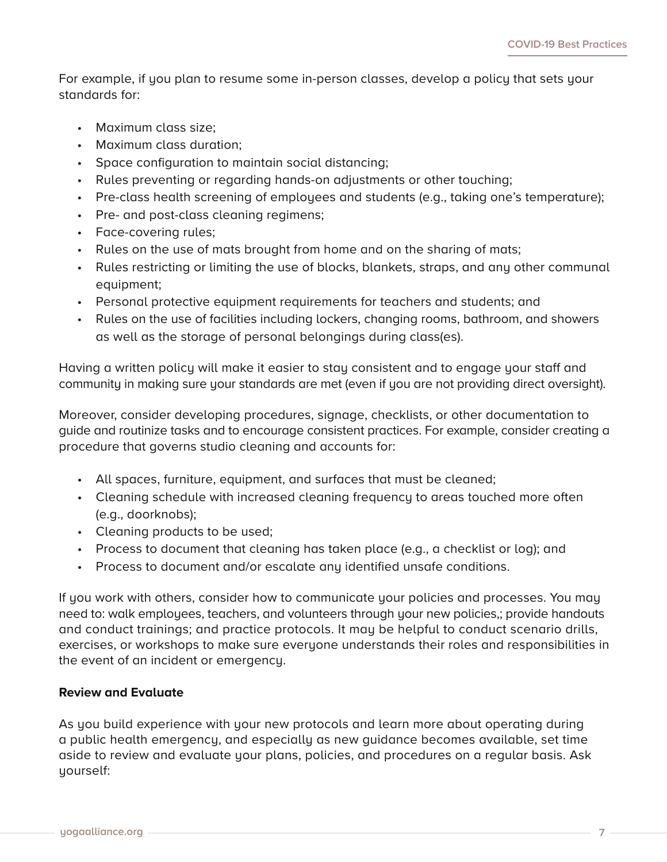For example, if you plan to resume some in-person classes, develop a policy that sets your standards for:

- Maximum class size;
- Maximum class duration;
- Space configuration to maintain social distancing;
- Rules preventing or regarding hands-on adjustments or other touching;
- Pre-class health screening of employees and students (e.g., taking one's temperature);
- Pre- and post-class cleaning regimens;
- Face-covering rules;
- Rules on the use of mats brought from home and on the sharing of mats;
- Rules restricting or limiting the use of blocks, blankets, straps, and any other communal equipment;
- Personal protective equipment requirements for teachers and students; and
- Rules on the use of facilities including lockers, changing rooms, bathroom, and showers as well as the storage of personal belongings during class(es).

Having a written policy will make it easier to stay consistent and to engage your staff and community in making sure your standards are met (even if you are not providing direct oversight).

Moreover, consider developing procedures, signage, checklists, or other documentation to guide and routinize tasks and to encourage consistent practices. For example, consider creating a procedure that governs studio cleaning and accounts for:

- All spaces, furniture, equipment, and surfaces that must be cleaned;
- Cleaning schedule with increased cleaning frequency to areas touched more often (e.g., doorknobs);
- Cleaning products to be used;
- Process to document that cleaning has taken place (e.g., a checklist or log); and
- Process to document and/or escalate any identified unsafe conditions.

If you work with others, consider how to communicate your policies and processes. You may need to: walk employees, teachers, and volunteers through your new policies,; provide handouts and conduct trainings; and practice protocols. It may be helpful to conduct scenario drills, exercises, or workshops to make sure everyone understands their roles and responsibilities in the event of an incident or emergency.

#### **Review and Evaluate**

As you build experience with your new protocols and learn more about operating during a public health emergency, and especially as new guidance becomes available, set time aside to review and evaluate your plans, policies, and procedures on a regular basis. Ask yourself: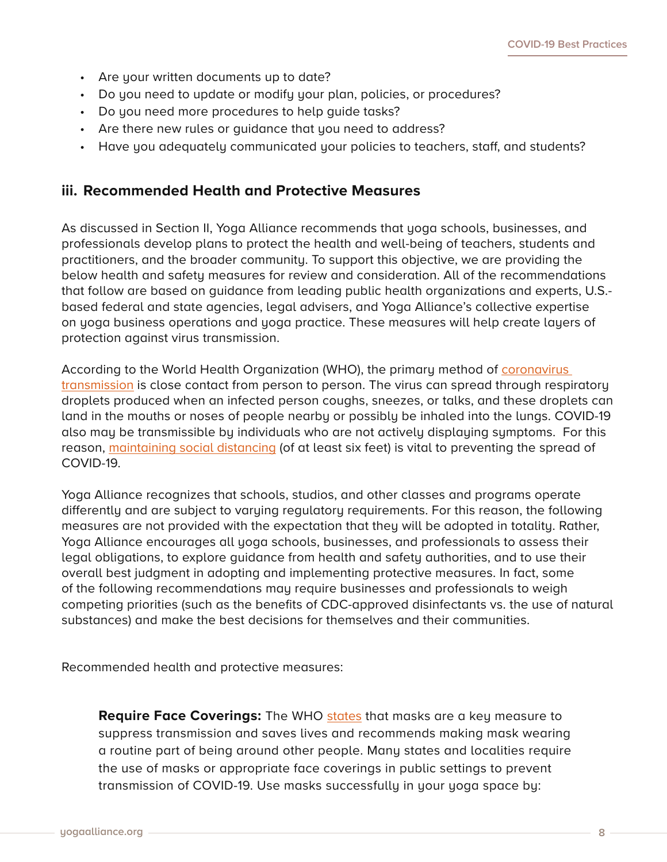- Are your written documents up to date?
- Do you need to update or modify your plan, policies, or procedures?
- Do you need more procedures to help guide tasks?
- Are there new rules or guidance that you need to address?
- Have you adequately communicated your policies to teachers, staff, and students?

#### **iii. Recommended Health and Protective Measures**

As discussed in Section II, Yoga Alliance recommends that yoga schools, businesses, and professionals develop plans to protect the health and well-being of teachers, students and practitioners, and the broader community. To support this objective, we are providing the below health and safety measures for review and consideration. All of the recommendations that follow are based on guidance from leading public health organizations and experts, U.S. based federal and state agencies, legal advisers, and Yoga Alliance's collective expertise on yoga business operations and yoga practice. These measures will help create layers of protection against virus transmission.

According to the World Health Organization (WHO), the primary method of [coronavirus](https://www.who.int/emergencies/diseases/novel-coronavirus-2019/question-and-answers-hub/q-a-detail/coronavirus-disease-covid-19)  [transmission](https://www.who.int/emergencies/diseases/novel-coronavirus-2019/question-and-answers-hub/q-a-detail/coronavirus-disease-covid-19) is close contact from person to person. The virus can spread through respiratory droplets produced when an infected person coughs, sneezes, or talks, and these droplets can land in the mouths or noses of people nearby or possibly be inhaled into the lungs. COVID-19 also may be transmissible by individuals who are not actively displaying symptoms. For this reason, [maintaining social distancing](https://www.cdc.gov/coronavirus/2019-ncov/prevent-getting-sick/social-distancing.html) (of at least six feet) is vital to preventing the spread of COVID-19.

Yoga Alliance recognizes that schools, studios, and other classes and programs operate differently and are subject to varying regulatory requirements. For this reason, the following measures are not provided with the expectation that they will be adopted in totality. Rather, Yoga Alliance encourages all yoga schools, businesses, and professionals to assess their legal obligations, to explore guidance from health and safety authorities, and to use their overall best judgment in adopting and implementing protective measures. In fact, some of the following recommendations may require businesses and professionals to weigh competing priorities (such as the benefits of CDC-approved disinfectants vs. the use of natural substances) and make the best decisions for themselves and their communities.

Recommended health and protective measures:

**Require Face Coverings:** The WHO [states](https://www.who.int/emergencies/diseases/novel-coronavirus-2019/question-and-answers-hub/q-a-detail/coronavirus-disease-covid-19-masks) that masks are a key measure to suppress transmission and saves lives and recommends making mask wearing a routine part of being around other people. Many states and localities require the use of masks or appropriate face coverings in public settings to prevent transmission of COVID-19. Use masks successfully in your yoga space by: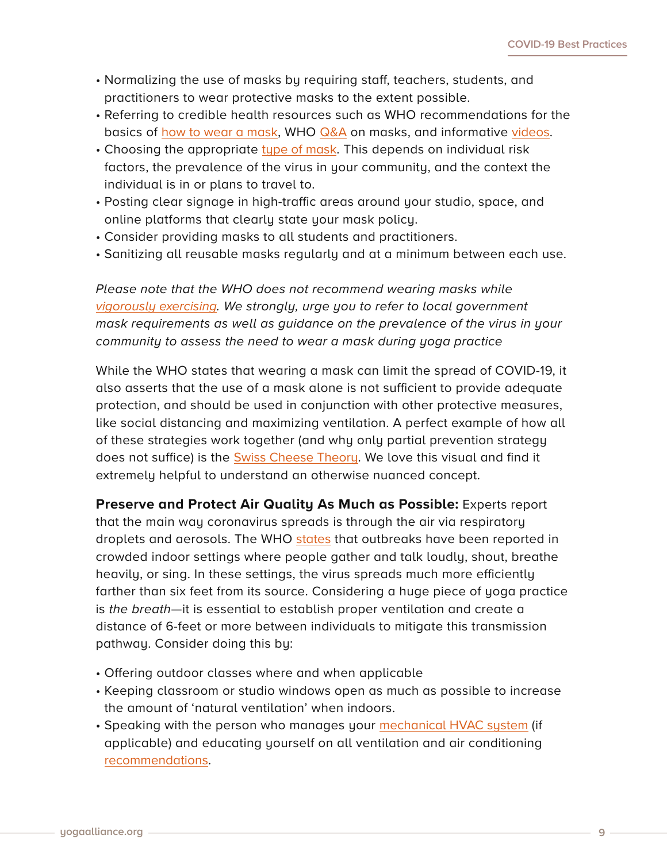- Normalizing the use of masks by requiring staff, teachers, students, and practitioners to wear protective masks to the extent possible.
- Referring to credible health resources such as WHO recommendations for the basics of [how to wear a mask](https://www.who.int/emergencies/diseases/novel-coronavirus-2019/advice-for-public/when-and-how-to-use-masks), WHO [Q&A](https://www.who.int/emergencies/diseases/novel-coronavirus-2019/question-and-answers-hub/q-a-detail/coronavirus-disease-covid-19-masks) on masks, and informative [videos.](https://www.who.int/emergencies/diseases/novel-coronavirus-2019/advice-for-public/when-and-how-to-use-masks)
- Choosing the appropriate [type of mask](https://www.who.int/emergencies/diseases/novel-coronavirus-2019/question-and-answers-hub/q-a-detail/coronavirus-disease-covid-19-masks). This depends on individual risk factors, the prevalence of the virus in your community, and the context the individual is in or plans to travel to.
- Posting clear signage in high-traffic areas around your studio, space, and online platforms that clearly state your mask policy.
- Consider providing masks to all students and practitioners.
- Sanitizing all reusable masks regularly and at a minimum between each use.

*Please note that the WHO does not recommend wearing masks while [vigorously exercising](https://www.who.int/images/default-source/health-topics/coronavirus/myth-busters/mythbuster---masks-and-exercise.png). We strongly, urge you to refer to local government mask requirements as well as guidance on the prevalence of the virus in your community to assess the need to wear a mask during yoga practice* 

While the WHO states that wearing a mask can limit the spread of COVID-19, it also asserts that the use of a mask alone is not sufficient to provide adequate protection, and should be used in conjunction with other protective measures, like social distancing and maximizing ventilation. A perfect example of how all of these strategies work together (and why only partial prevention strategy does not suffice) is the [Swiss Cheese Theory](https://www.nytimes.com/2020/12/05/health/coronavirus-swiss-cheese-infection-mackay.html). We love this visual and find it extremely helpful to understand an otherwise nuanced concept.

**Preserve and Protect Air Quality As Much as Possible:** Experts report that the main way coronavirus spreads is through the air via respiratory droplets and aerosols. The WHO [states](https://www.who.int/emergencies/diseases/novel-coronavirus-2019/advice-for-public) that outbreaks have been reported in crowded indoor settings where people gather and talk loudly, shout, breathe heavily, or sing. In these settings, the virus spreads much more efficiently farther than six feet from its source. Considering a huge piece of yoga practice is *the breath*—it is essential to establish proper ventilation and create a distance of 6-feet or more between individuals to mitigate this transmission pathway. Consider doing this by:

- Offering outdoor classes where and when applicable
- Keeping classroom or studio windows open as much as possible to increase the amount of 'natural ventilation' when indoors.
- Speaking with the person who manages your [mechanical HVAC system](https://www.who.int/emergencies/diseases/novel-coronavirus-2019/question-and-answers-hub/q-a-detail/coronavirus-disease-covid-19-ventilation-and-air-conditioning-in-public-spaces-and-buildings) (if applicable) and educating yourself on all ventilation and air conditioning [recommendations](https://www.who.int/news-room/q-a-detail/coronavirus-disease-covid-19-ventilation-and-air-conditioning).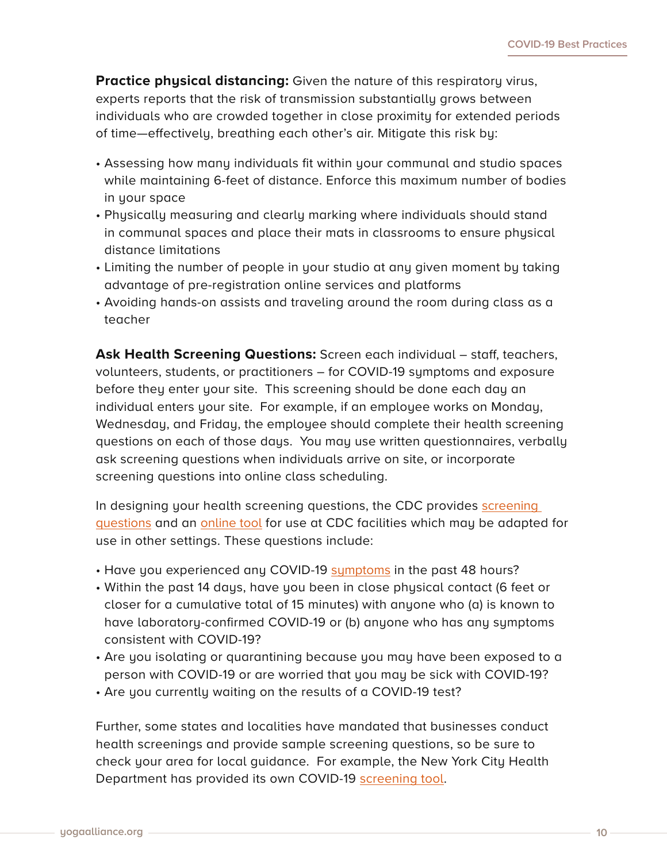**Practice physical distancing:** Given the nature of this respiratory virus, experts reports that the risk of transmission substantially grows between individuals who are crowded together in close proximity for extended periods of time—effectively, breathing each other's air. Mitigate this risk by:

- Assessing how many individuals fit within your communal and studio spaces while maintaining 6-feet of distance. Enforce this maximum number of bodies in your space
- Physically measuring and clearly marking where individuals should stand in communal spaces and place their mats in classrooms to ensure physical distance limitations
- Limiting the number of people in your studio at any given moment by taking advantage of pre-registration online services and platforms
- Avoiding hands-on assists and traveling around the room during class as a teacher

**Ask Health Screening Questions:** Screen each individual – staff, teachers, volunteers, students, or practitioners – for COVID-19 symptoms and exposure before they enter your site. This screening should be done each day an individual enters your site. For example, if an employee works on Monday, Wednesday, and Friday, the employee should complete their health screening questions on each of those days. You may use written questionnaires, verbally ask screening questions when individuals arrive on site, or incorporate screening questions into online class scheduling.

In designing your health screening questions, the CDC provides [screening](https://www.cdc.gov/screening/paper-version.pdf)  [questions](https://www.cdc.gov/screening/paper-version.pdf) and an [online tool](https://www.cdc.gov/screening/index.html) for use at CDC facilities which may be adapted for use in other settings. These questions include:

- Have you experienced any COVID-19 [symptoms](https://www.cdc.gov/coronavirus/2019-ncov/symptoms-testing/symptoms.html) in the past 48 hours?
- Within the past 14 days, have you been in close physical contact (6 feet or closer for a cumulative total of 15 minutes) with anyone who (a) is known to have laboratory-confirmed COVID-19 or (b) anyone who has any symptoms consistent with COVID-19?
- Are you isolating or quarantining because you may have been exposed to a person with COVID-19 or are worried that you may be sick with COVID-19?
- Are you currently waiting on the results of a COVID-19 test?

Further, some states and localities have mandated that businesses conduct health screenings and provide sample screening questions, so be sure to check your area for local guidance. For example, the New York City Health Department has provided its own COVID-19 [screening tool.](https://www1.nyc.gov/assets/doh/downloads/pdf/imm/covid-19-health-screen-template.pdf)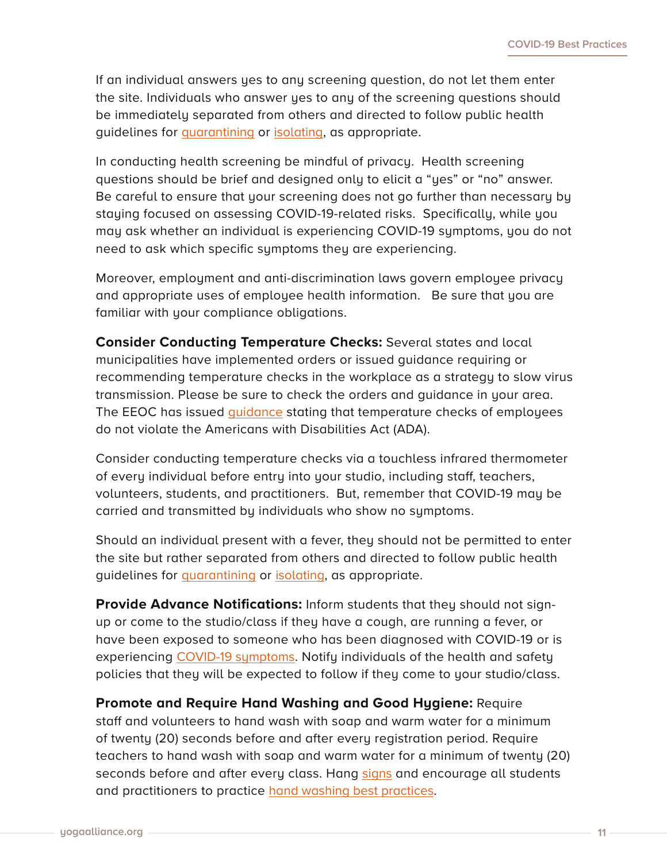If an individual answers yes to any screening question, do not let them enter the site. Individuals who answer yes to any of the screening questions should be immediately separated from others and directed to follow public health guidelines for [quarantining](https://www.cdc.gov/coronavirus/2019-ncov/if-you-are-sick/quarantine.html) or [isolating](https://www.cdc.gov/coronavirus/2019-ncov/if-you-are-sick/isolation.html), as appropriate.

In conducting health screening be mindful of privacy. Health screening questions should be brief and designed only to elicit a "yes" or "no" answer. Be careful to ensure that your screening does not go further than necessary by staying focused on assessing COVID-19-related risks. Specifically, while you may ask whether an individual is experiencing COVID-19 symptoms, you do not need to ask which specific symptoms they are experiencing.

Moreover, employment and anti-discrimination laws govern employee privacy and appropriate uses of employee health information. Be sure that you are familiar with your compliance obligations.

**Consider Conducting Temperature Checks:** Several states and local municipalities have implemented orders or issued guidance requiring or recommending temperature checks in the workplace as a strategy to slow virus transmission. Please be sure to check the orders and guidance in your area. The EEOC has issued *guidance* stating that temperature checks of employees do not violate the Americans with Disabilities Act (ADA).

Consider conducting temperature checks via a touchless infrared thermometer of every individual before entry into your studio, including staff, teachers, volunteers, students, and practitioners. But, remember that COVID-19 may be carried and transmitted by individuals who show no symptoms.

Should an individual present with a fever, they should not be permitted to enter the site but rather separated from others and directed to follow public health guidelines for [quarantining](https://www.eeoc.gov/laws/guidance/pandemic-preparedness-workplace-and-americans-disabilities-act) or [isolating](https://www.cdc.gov/coronavirus/2019-ncov/if-you-are-sick/isolation.html), as appropriate.

**Provide Advance Notifications:** Inform students that they should not signup or come to the studio/class if they have a cough, are running a fever, or have been exposed to someone who has been diagnosed with COVID-19 or is experiencing [COVID-19 symptoms.](https://www.who.int/health-topics/coronavirus#tab=tab_3) Notify individuals of the health and safety policies that they will be expected to follow if they come to your studio/class.

**Promote and Require Hand Washing and Good Hygiene:** Require staff and volunteers to hand wash with soap and warm water for a minimum of twenty (20) seconds before and after every registration period. Require teachers to hand wash with soap and warm water for a minimum of twenty (20) seconds before and after every class. Hang [signs](https://yourya.org/wp-content/uploads/2020/04/covid-19-wash_your_hands.pdf) and encourage all students and practitioners to practice [hand washing best practices](https://www.who.int/teams/integrated-health-services/infection-prevention-control).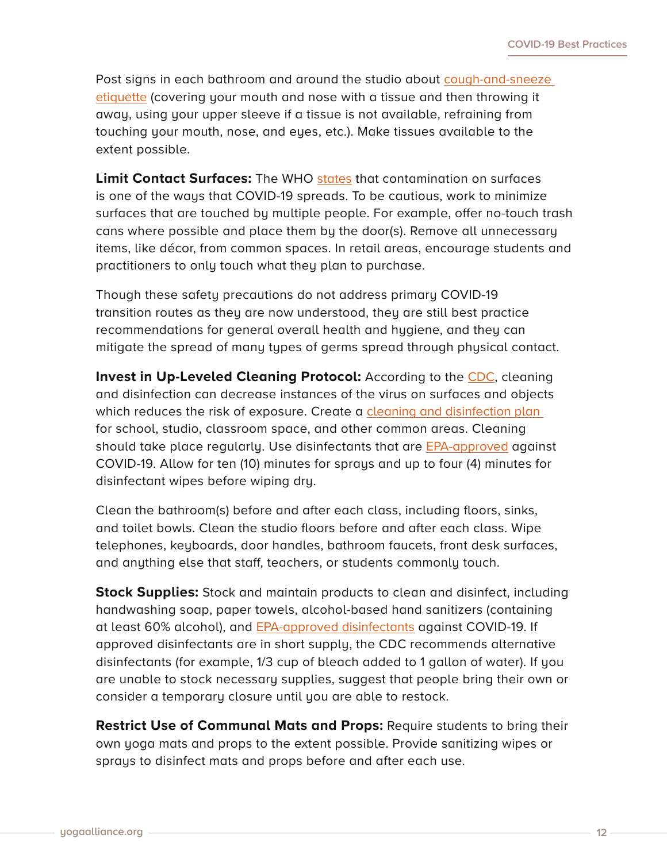Post signs in each bathroom and around the studio about [cough-and-sneeze](https://www.who.int/images/default-source/health-topics/coronavirus/risk-communications/general-public/protect-yourself/blue-3.png?sfvrsn=b1ef6d45_2)  [etiquette](https://www.who.int/images/default-source/health-topics/coronavirus/risk-communications/general-public/protect-yourself/blue-3.png?sfvrsn=b1ef6d45_2) (covering your mouth and nose with a tissue and then throwing it away, using your upper sleeve if a tissue is not available, refraining from touching your mouth, nose, and eyes, etc.). Make tissues available to the extent possible.

**Limit Contact Surfaces:** The WHO [states](https://www.who.int/news-room/q-a-detail/coronavirus-disease-covid-19-how-is-it-transmitted) that contamination on surfaces is one of the ways that COVID-19 spreads. To be cautious, work to minimize surfaces that are touched by multiple people. For example, offer no-touch trash cans where possible and place them by the door(s). Remove all unnecessary items, like décor, from common spaces. In retail areas, encourage students and practitioners to only touch what they plan to purchase.

Though these safety precautions do not address primary COVID-19 transition routes as they are now understood, they are still best practice recommendations for general overall health and hygiene, and they can mitigate the spread of many types of germs spread through physical contact.

**Invest in Up-Leveled Cleaning Protocol:** According to the [CDC](https://www.cdc.gov/coronavirus/2019-ncov/community/pdf/reopening_america_guidance.pdf), cleaning and disinfection can decrease instances of the virus on surfaces and objects which reduces the risk of exposure. Create a cleaning and disinfection plan for school, studio, classroom space, and other common areas. Cleaning should take place regularly. Use disinfectants that are [EPA-approved](https://www.epa.gov/pesticide-registration/list-n-disinfectants-coronavirus-covid-19) against COVID-19. Allow for ten (10) minutes for sprays and up to four (4) minutes for disinfectant wipes before wiping dry.

Clean the bathroom(s) before and after each class, including floors, sinks, and toilet bowls. Clean the studio floors before and after each class. Wipe telephones, keyboards, door handles, bathroom faucets, front desk surfaces, and anything else that staff, teachers, or students commonly touch.

**Stock Supplies:** Stock and maintain products to clean and disinfect, including handwashing soap, paper towels, alcohol-based hand sanitizers (containing at least 60% alcohol), and [EPA-approved disinfectants](https://www.epa.gov/pesticide-registration/list-n-disinfectants-coronavirus-covid-19) against COVID-19. If approved disinfectants are in short supply, the CDC recommends alternative disinfectants (for example, 1/3 cup of bleach added to 1 gallon of water). If you are unable to stock necessary supplies, suggest that people bring their own or consider a temporary closure until you are able to restock.

**Restrict Use of Communal Mats and Props:** Require students to bring their own yoga mats and props to the extent possible. Provide sanitizing wipes or sprays to disinfect mats and props before and after each use.